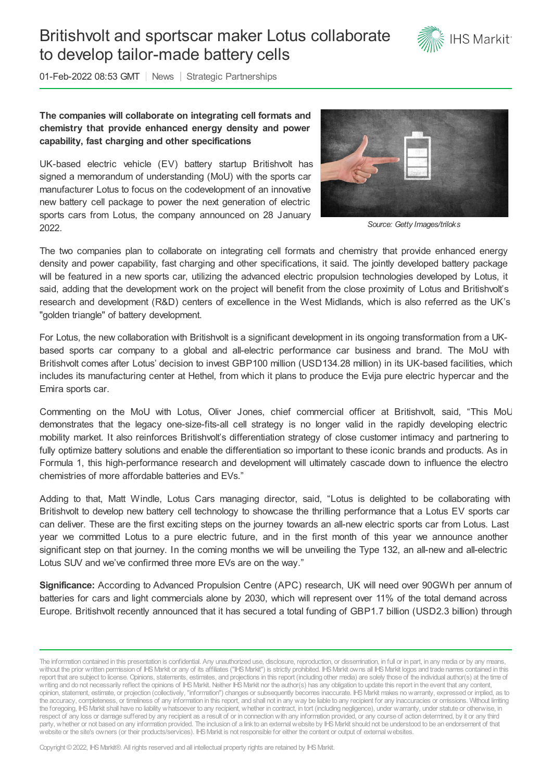## Britishvolt and sportscar maker Lotus collaborate to develop tailor-made battery cells



01-Feb-2022 08:53 GMT | News | Strategic Partnerships

## **The companies will collaborate on integrating cell formats and chemistry that provide enhanced energy density and power capability, fast charging and other specifications**

UK-based electric vehicle (EV) battery startup Britishvolt has signed a memorandum of understanding (MoU) with the sports car manufacturer Lotus to focus on the codevelopment of an innovative new battery cell package to power the next generation of electric sports cars from Lotus, the company announced on 28 January 2022.



*Source: Getty Images/triloks*

The two companies plan to collaborate on integrating cell formats and chemistry that provide enhanced energy density and power capability, fast charging and other specifications, it said. The jointly developed battery package will be featured in a new sports car, utilizing the advanced electric propulsion technologies developed by Lotus, it said, adding that the development work on the project will benefit from the close proximity of Lotus and Britishvolt's research and development (R&D) centers of excellence in the West Midlands, which is also referred as the UK's "golden triangle" of battery development.

For Lotus, the new collaboration with Britishvolt is a significant development in its ongoing transformation from a UKbased sports car company to a global and all-electric performance car business and brand. The MoU with Britishvolt comes after Lotus' decision to invest GBP100 million (USD134.28 million) in its UK-based facilities, which includes its manufacturing center at Hethel, from which it plans to produce the Evija pure electric hypercar and the Emira sports car.

Commenting on the MoU with Lotus, Oliver Jones, chief commercial officer at Britishvolt, said, "This MoU demonstrates that the legacy one-size-fits-all cell strategy is no longer valid in the rapidly developing electric mobility market. It also reinforces Britishvolt's differentiation strategy of close customer intimacy and partnering to fully optimize battery solutions and enable the differentiation so important to these iconic brands and products. As in Formula 1, this high-performance research and development will ultimately cascade down to influence the electro chemistries of more affordable batteries and EVs."

Adding to that, Matt Windle, Lotus Cars managing director, said, "Lotus is delighted to be collaborating with Britishvolt to develop new battery cell technology to showcase the thrilling performance that a Lotus EV sports car can deliver. These are the first exciting steps on the journey towards an all-new electric sports car from Lotus. Last year we committed Lotus to a pure electric future, and in the first month of this year we announce another significant step on that journey. In the coming months we will be unveiling the Type 132, an all-new and all-electric Lotus SUV and we've confirmed three more EVs are on the way."

**Significance:** According to Advanced Propulsion Centre (APC) research, UK will need over 90GWh per annum of batteries for cars and light commercials alone by 2030, which will represent over 11% of the total demand across Europe. Britishvolt recently announced that it has secured a total funding of GBP1.7 billion (USD2.3 billion) through

Copyright © 2022, IHS Markit®. All rights reserved and all intellectual property rights are retained by IHS Markit.

The information contained in this presentation is confidential. Any unauthorized use, disclosure, reproduction, or dissemination, in full or in part, in any media or by any means, without the prior written permission of IHS Markit or any of its affiliates ("IHS Markit") is strictly prohibited. IHS Markit owns all IHS Markit logos and trade names contained in this report that are subject to license. Opinions, statements, estimates, and projections in this report (including other media) are solely those of the individual author(s) at the time of writing and do not necessarily reflect the opinions of IHS Markit. Neither IHS Markit nor the author(s) has any obligation to update this report in the event that any content, opinion, statement, estimate, or projection (collectively, "information") changes or subsequently becomes inaccurate. IHSMarkit makes nowarranty, expressed or implied, as to the accuracy, completeness, or timeliness of any information in this report, and shall not in any way be liable to any recipient for any inaccuracies or omissions. Without limiting the foregoing, IHSMarkit shall have no liability whatsoever to any recipient, whether in contract, in tort (including negligence), under warranty, under statute or otherwise, in respect of any loss or damage suffered by any recipient as a result of or in connectionwith any information provided, or any course of action determined, by it or any third party, whether or not based on any information provided. The inclusion of a link to an external website by IHS Markit should not be understood to be an endorsement of that website or the site's owners (or their products/services). IHS Markit is not responsible for either the content or output of external websites.